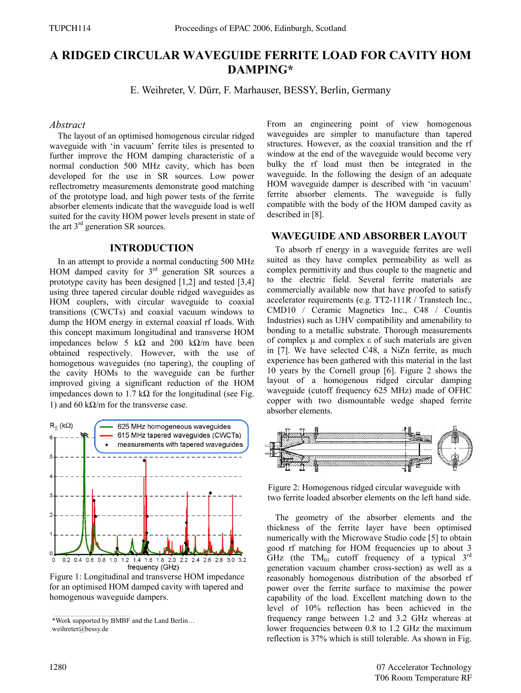# **A RIDGED CIRCULAR WAVEGUIDE FERRITE LOAD FOR CAVITY HOM DAMPING\***

E. Weihreter, V. Dürr, F. Marhauser, BESSY, Berlin, Germany

### *Abstract*

The layout of an optimised homogenous circular ridged waveguide with 'in vacuum' ferrite tiles is presented to further improve the HOM damping characteristic of a normal conduction 500 MHz cavity, which has been developed for the use in SR sources. Low power reflectrometry measurements demonstrate good matching of the prototype load, and high power tests of the ferrite absorber elements indicate that the waveguide load is well suited for the cavity HOM power levels present in state of the art 3rd generation SR sources.

## **INTRODUCTION**

In an attempt to provide a normal conducting 500 MHz HOM damped cavity for  $3<sup>rd</sup>$  generation SR sources a prototype cavity has been designed [1,2] and tested [3,4] using three tapered circular double ridged waveguides as HOM couplers, with circular waveguide to coaxial transitions (CWCTs) and coaxial vacuum windows to dump the HOM energy in external coaxial rf loads. With this concept maximum longitudinal and transverse HOM impedances below 5 kΩ and 200 kΩ/m have been obtained respectively. However, with the use of homogenous waveguides (no tapering), the coupling of the cavity HOMs to the waveguide can be further improved giving a significant reduction of the HOM impedances down to 1.7 kΩ for the longitudinal (see Fig. 1) and 60 kΩ/m for the transverse case.



Figure 1: Longitudinal and transverse HOM impedance for an optimised HOM damped cavity with tapered and homogenous waveguide dampers.

\*Work supported by BMBF and the Land Berlin… weihreter@bessy.de

From an engineering point of view homogenous waveguides are simpler to manufacture than tapered structures. However, as the coaxial transition and the rf window at the end of the waveguide would become very bulky the rf load must then be integrated in the waveguide. In the following the design of an adequate HOM waveguide damper is described with 'in vacuum' ferrite absorber elements. The waveguide is fully compatible with the body of the HOM damped cavity as described in [8].

## **WAVEGUIDE AND ABSORBER LAYOUT**

To absorb rf energy in a waveguide ferrites are well suited as they have complex permeability as well as complex permittivity and thus couple to the magnetic and to the electric field. Several ferrite materials are commercially available now that have proofed to satisfy accelerator requirements (e.g. TT2-111R / Transtech Inc., CMD10 / Ceramic Magnetics Inc., C48 / Countis Industries) such as UHV compatibility and amenability to bonding to a metallic substrate. Thorough measurements of complex µ and complex ε of such materials are given in [7]. We have selected C48, a NiZn ferrite, as much experience has been gathered with this material in the last 10 years by the Cornell group [6]. Figure 2 shows the layout of a homogenous ridged circular damping waveguide (cutoff frequency 625 MHz) made of OFHC copper with two dismountable wedge shaped ferrite absorber elements.



Figure 2: Homogenous ridged circular waveguide with two ferrite loaded absorber elements on the left hand side.

The geometry of the absorber elements and the thickness of the ferrite layer have been optimised numerically with the Microwave Studio code [5] to obtain good rf matching for HOM frequencies up to about 3 GHz (the  $TM_{01}$  cutoff frequency of a typical  $3^{rd}$ generation vacuum chamber cross-section) as well as a reasonably homogenous distribution of the absorbed rf power over the ferrite surface to maximise the power capability of the load. Excellent matching down to the level of 10% reflection has been achieved in the frequency range between 1.2 and 3.2 GHz whereas at lower frequencies between 0.8 to 1.2 GHz the maximum reflection is 37% which is still tolerable. As shown in Fig.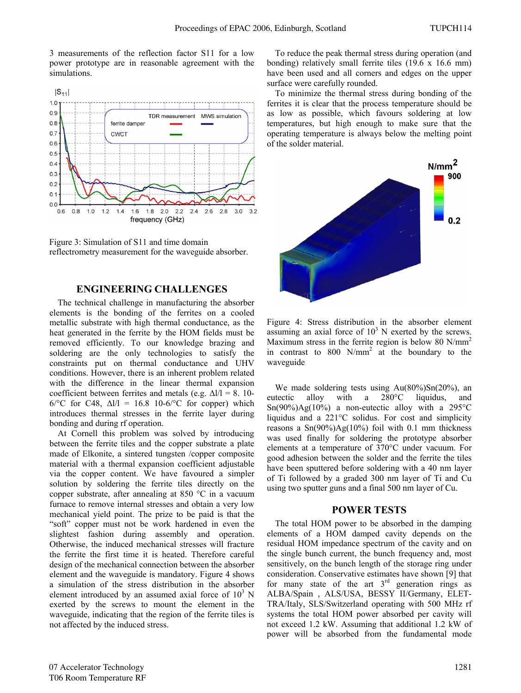3 measurements of the reflection factor S11 for a low power prototype are in reasonable agreement with the simulations.



Figure 3: Simulation of S11 and time domain reflectrometry measurement for the waveguide absorber.

## **ENGINEERING CHALLENGES**

The technical challenge in manufacturing the absorber elements is the bonding of the ferrites on a cooled metallic substrate with high thermal conductance, as the heat generated in the ferrite by the HOM fields must be removed efficiently. To our knowledge brazing and soldering are the only technologies to satisfy the constraints put on thermal conductance and UHV conditions. However, there is an inherent problem related with the difference in the linear thermal expansion coefficient between ferrites and metals (e.g.  $\Delta l/l = 8$ . 10-6/°C for C48, Δl/l = 16.8 10-6/°C for copper) which introduces thermal stresses in the ferrite layer during bonding and during rf operation.

At Cornell this problem was solved by introducing between the ferrite tiles and the copper substrate a plate made of Elkonite, a sintered tungsten /copper composite material with a thermal expansion coefficient adjustable via the copper content. We have favoured a simpler solution by soldering the ferrite tiles directly on the copper substrate, after annealing at 850 °C in a vacuum furnace to remove internal stresses and obtain a very low mechanical yield point. The prize to be paid is that the "soft" copper must not be work hardened in even the slightest fashion during assembly and operation. Otherwise, the induced mechanical stresses will fracture the ferrite the first time it is heated. Therefore careful design of the mechanical connection between the absorber element and the waveguide is mandatory. Figure 4 shows a simulation of the stress distribution in the absorber element introduced by an assumed axial force of  $10^3$  N exerted by the screws to mount the element in the waveguide, indicating that the region of the ferrite tiles is not affected by the induced stress.

To reduce the peak thermal stress during operation (and bonding) relatively small ferrite tiles (19.6 x 16.6 mm) have been used and all corners and edges on the upper surface were carefully rounded.

To minimize the thermal stress during bonding of the ferrites it is clear that the process temperature should be as low as possible, which favours soldering at low temperatures, but high enough to make sure that the operating temperature is always below the melting point of the solder material.



Figure 4: Stress distribution in the absorber element assuming an axial force of  $10<sup>3</sup>$  N exerted by the screws. Maximum stress in the ferrite region is below 80  $N/mm^2$ in contrast to  $800 \text{ N/mm}^2$  at the boundary to the waveguide

We made soldering tests using  $Au(80\%)\text{Sn}(20\%)$ , an eutectic alloy with a 280°C liquidus, and  $Sn(90\%)Ag(10\%)$  a non-eutectic alloy with a 295 °C liquidus and a 221°C solidus. For cost and simplicity reasons a  $Sn(90\%)Ag(10\%)$  foil with 0.1 mm thickness was used finally for soldering the prototype absorber elements at a temperature of 370°C under vacuum. For good adhesion between the solder and the ferrite the tiles have been sputtered before soldering with a 40 nm layer of Ti followed by a graded 300 nm layer of Ti and Cu using two sputter guns and a final 500 nm layer of Cu.

## **POWER TESTS**

The total HOM power to be absorbed in the damping elements of a HOM damped cavity depends on the residual HOM impedance spectrum of the cavity and on the single bunch current, the bunch frequency and, most sensitively, on the bunch length of the storage ring under consideration. Conservative estimates have shown [9] that for many state of the art  $3<sup>rd</sup>$  generation rings as ALBA/Spain , ALS/USA, BESSY II/Germany, ELET-TRA/Italy, SLS/Switzerland operating with 500 MHz rf systems the total HOM power absorbed per cavity will not exceed 1.2 kW. Assuming that additional 1.2 kW of power will be absorbed from the fundamental mode